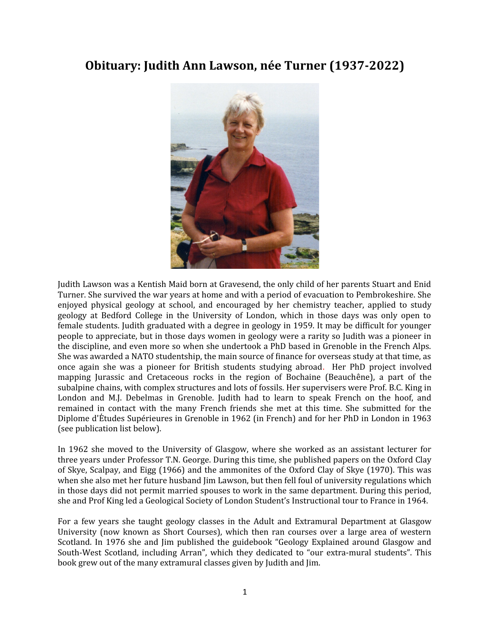# **Obituary: Judith Ann Lawson, née Turner (1937-2022)**



Judith Lawson was a Kentish Maid born at Gravesend, the only child of her parents Stuart and Enid Turner. She survived the war years at home and with a period of evacuation to Pembrokeshire. She enjoyed physical geology at school, and encouraged by her chemistry teacher, applied to study geology at Bedford College in the University of London, which in those days was only open to female students. Judith graduated with a degree in geology in 1959. It may be difficult for younger people to appreciate, but in those days women in geology were a rarity so Judith was a pioneer in the discipline, and even more so when she undertook a PhD based in Grenoble in the French Alps. She was awarded a NATO studentship, the main source of finance for overseas study at that time, as once again she was a pioneer for British students studying abroad. Her PhD project involved mapping Jurassic and Cretaceous rocks in the region of Bochaine (Beauchêne), a part of the subalpine chains, with complex structures and lots of fossils. Her supervisers were Prof. B.C. King in London and M.J. Debelmas in Grenoble. Judith had to learn to speak French on the hoof, and remained in contact with the many French friends she met at this time. She submitted for the Diplome d'E̒tudes Supérieures in Grenoble in 1962 (in French) and for her PhD in London in 1963 (see publication list below).

In 1962 she moved to the University of Glasgow, where she worked as an assistant lecturer for three years under Professor T.N. George. During this time, she published papers on the Oxford Clay of Skye, Scalpay, and Eigg (1966) and the ammonites of the Oxford Clay of Skye (1970). This was when she also met her future husband Jim Lawson, but then fell foul of university regulations which in those days did not permit married spouses to work in the same department. During this period, she and Prof King led a Geological Society of London Student's Instructional tour to France in 1964.

For a few years she taught geology classes in the Adult and Extramural Department at Glasgow University (now known as Short Courses), which then ran courses over a large area of western Scotland. In 1976 she and Jim published the guidebook "Geology Explained around Glasgow and South-West Scotland, including Arran", which they dedicated to "our extra-mural students". This book grew out of the many extramural classes given by Judith and Jim.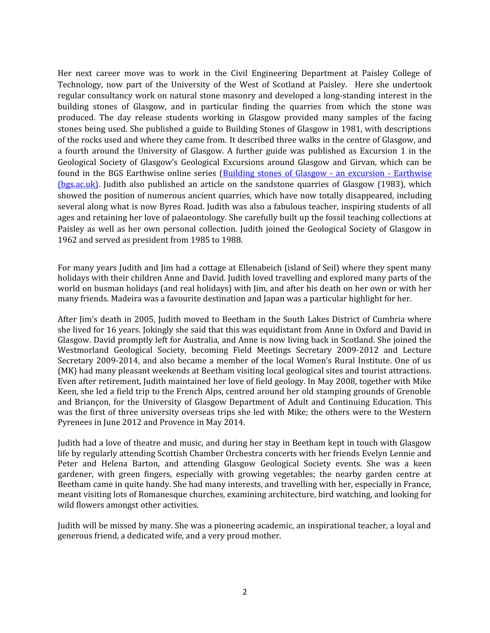Her next career move was to work in the Civil Engineering Department at Paisley College of Technology, now part of the University of the West of Scotland at Paisley. Here she undertook regular consultancy work on natural stone masonry and developed a long-standing interest in the building stones of Glasgow, and in particular finding the quarries from which the stone was produced. The day release students working in Glasgow provided many samples of the facing stones being used. She published a guide to Building Stones of Glasgow in 1981, with descriptions of the rocks used and where they came from. It described three walks in the centre of Glasgow, and a fourth around the University of Glasgow. A further guide was published as Excursion 1 in the Geological Society of Glasgow's Geological Excursions around Glasgow and Girvan, which can be found in the BGS Earthwise online series (Building stones of Glasgow - an excursion - Earthwise (bgs.ac.uk). Judith also published an article on the sandstone quarries of Glasgow (1983), which showed the position of numerous ancient quarries, which have now totally disappeared, including several along what is now Byres Road. Judith was also a fabulous teacher, inspiring students of all ages and retaining her love of palaeontology. She carefully built up the fossil teaching collections at Paisley as well as her own personal collection. Judith joined the Geological Society of Glasgow in 1962 and served as president from 1985 to 1988.

For many years Judith and Jim had a cottage at Ellenabeich (island of Seil) where they spent many holidays with their children Anne and David. Judith loved travelling and explored many parts of the world on busman holidays (and real holidays) with Jim, and after his death on her own or with her many friends. Madeira was a favourite destination and Japan was a particular highlight for her.

After Jim's death in 2005, Judith moved to Beetham in the South Lakes District of Cumbria where she lived for 16 years. Jokingly she said that this was equidistant from Anne in Oxford and David in Glasgow. David promptly left for Australia, and Anne is now living back in Scotland. She joined the Westmorland Geological Society, becoming Field Meetings Secretary 2009-2012 and Lecture Secretary 2009-2014, and also became a member of the local Women's Rural Institute. One of us (MK) had many pleasant weekends at Beetham visiting local geological sites and tourist attractions. Even after retirement, Judith maintained her love of field geology. In May 2008, together with Mike Keen, she led a field trip to the French Alps, centred around her old stamping grounds of Grenoble and Briançon, for the University of Glasgow Department of Adult and Continuing Education. This was the first of three university overseas trips she led with Mike; the others were to the Western Pyrenees in June 2012 and Provence in May 2014.

Judith had a love of theatre and music, and during her stay in Beetham kept in touch with Glasgow life by regularly attending Scottish Chamber Orchestra concerts with her friends Evelyn Lennie and Peter and Helena Barton, and attending Glasgow Geological Society events. She was a keen gardener, with green fingers, especially with growing vegetables; the nearby garden centre at Beetham came in quite handy. She had many interests, and travelling with her, especially in France, meant visiting lots of Romanesque churches, examining architecture, bird watching, and looking for wild flowers amongst other activities.

Judith will be missed by many. She was a pioneering academic, an inspirational teacher, a loyal and generous friend, a dedicated wife, and a very proud mother.